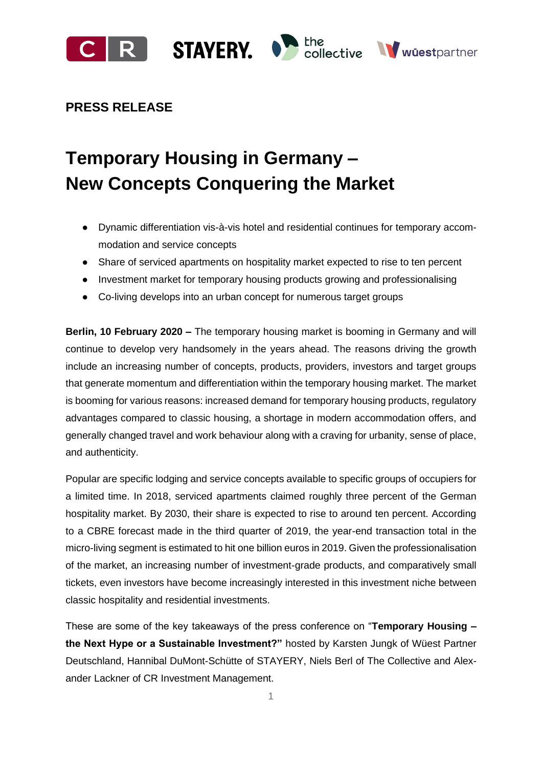

# **PRESS RELEASE**

# **Temporary Housing in Germany – New Concepts Conquering the Market**

- Dynamic differentiation vis-à-vis hotel and residential continues for temporary accommodation and service concepts
- Share of serviced apartments on hospitality market expected to rise to ten percent
- Investment market for temporary housing products growing and professionalising
- Co-living develops into an urban concept for numerous target groups

**Berlin, 10 February 2020 –** The temporary housing market is booming in Germany and will continue to develop very handsomely in the years ahead. The reasons driving the growth include an increasing number of concepts, products, providers, investors and target groups that generate momentum and differentiation within the temporary housing market. The market is booming for various reasons: increased demand for temporary housing products, regulatory advantages compared to classic housing, a shortage in modern accommodation offers, and generally changed travel and work behaviour along with a craving for urbanity, sense of place, and authenticity.

Popular are specific lodging and service concepts available to specific groups of occupiers for a limited time. In 2018, serviced apartments claimed roughly three percent of the German hospitality market. By 2030, their share is expected to rise to around ten percent. According to a CBRE forecast made in the third quarter of 2019, the year-end transaction total in the micro-living segment is estimated to hit one billion euros in 2019. Given the professionalisation of the market, an increasing number of investment-grade products, and comparatively small tickets, even investors have become increasingly interested in this investment niche between classic hospitality and residential investments.

These are some of the key takeaways of the press conference on "**Temporary Housing – the Next Hype or a Sustainable Investment?"** hosted by Karsten Jungk of Wüest Partner Deutschland, Hannibal DuMont-Schütte of STAYERY, Niels Berl of The Collective and Alexander Lackner of CR Investment Management.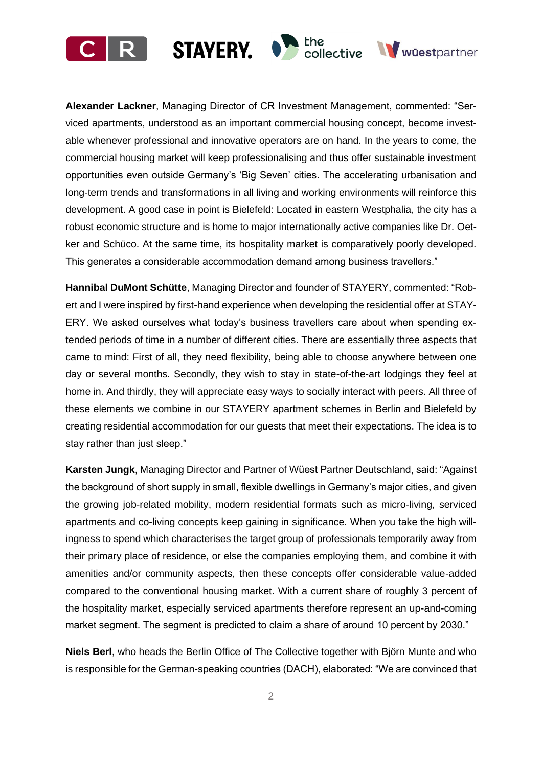



**Hannibal DuMont Schütte**, Managing Director and founder of STAYERY, commented: "Robert and I were inspired by first-hand experience when developing the residential offer at STAY-ERY. We asked ourselves what today's business travellers care about when spending extended periods of time in a number of different cities. There are essentially three aspects that came to mind: First of all, they need flexibility, being able to choose anywhere between one day or several months. Secondly, they wish to stay in state-of-the-art lodgings they feel at home in. And thirdly, they will appreciate easy ways to socially interact with peers. All three of these elements we combine in our STAYERY apartment schemes in Berlin and Bielefeld by creating residential accommodation for our guests that meet their expectations. The idea is to stay rather than just sleep."

**Karsten Jungk**, Managing Director and Partner of Wüest Partner Deutschland, said: "Against the background of short supply in small, flexible dwellings in Germany's major cities, and given the growing job-related mobility, modern residential formats such as micro-living, serviced apartments and co-living concepts keep gaining in significance. When you take the high willingness to spend which characterises the target group of professionals temporarily away from their primary place of residence, or else the companies employing them, and combine it with amenities and/or community aspects, then these concepts offer considerable value-added compared to the conventional housing market. With a current share of roughly 3 percent of the hospitality market, especially serviced apartments therefore represent an up-and-coming market segment. The segment is predicted to claim a share of around 10 percent by 2030."

**Niels Berl**, who heads the Berlin Office of The Collective together with Björn Munte and who is responsible for the German-speaking countries (DACH), elaborated: "We are convinced that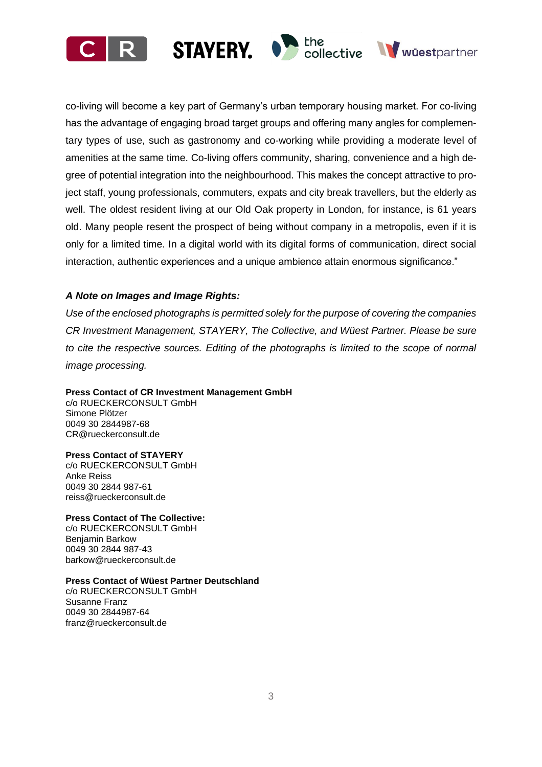





co-living will become a key part of Germany's urban temporary housing market. For co-living has the advantage of engaging broad target groups and offering many angles for complementary types of use, such as gastronomy and co-working while providing a moderate level of amenities at the same time. Co-living offers community, sharing, convenience and a high degree of potential integration into the neighbourhood. This makes the concept attractive to project staff, young professionals, commuters, expats and city break travellers, but the elderly as well. The oldest resident living at our Old Oak property in London, for instance, is 61 years old. Many people resent the prospect of being without company in a metropolis, even if it is only for a limited time. In a digital world with its digital forms of communication, direct social interaction, authentic experiences and a unique ambience attain enormous significance."

# *A Note on Images and Image Rights:*

*Use of the enclosed photographs is permitted solely for the purpose of covering the companies CR Investment Management, STAYERY, The Collective, and Wüest Partner. Please be sure to cite the respective sources. Editing of the photographs is limited to the scope of normal image processing.*

# **Press Contact of CR Investment Management GmbH**

c/o RUECKERCONSULT GmbH Simone Plötzer 0049 30 2844987-68 [CR@rueckerconsult.de](mailto:CR@rueckerconsult.de)

# **Press Contact of STAYERY**

c/o RUECKERCONSULT GmbH Anke Reiss 0049 30 2844 987-61 reiss@rueckerconsult.de

# **Press Contact of The Collective:**

c/o RUECKERCONSULT GmbH Benjamin Barkow 0049 30 2844 987-43 barkow@rueckerconsult.de

# **Press Contact of Wüest Partner Deutschland**

c/o RUECKERCONSULT GmbH Susanne Franz 0049 30 2844987-64 franz@rueckerconsult.de